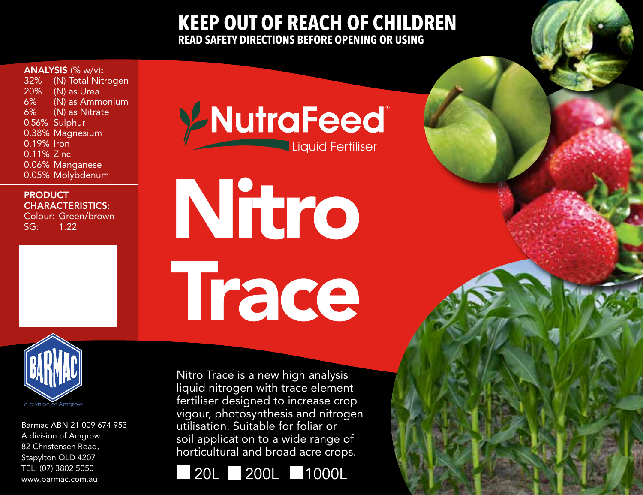## **KEEP OUT OF REACH OF CHILDREN READ SAFETY DIRECTIONS BEFORE OPENING OR USING**

**ANALYSIS** (% w/v):<br>32% (N) Total Nit

32% (N) Total Nitrogen<br>20% (N) as Urea 20% (N) as Urea<br>6% (N) as Amm 6% (N) as Ammonium (N) as Nitrate 0.56% Sulphur 0.38% Magnesium 0.19% Iron 0.11% Zinc 0.06% Manganese 0.05% Molybdenum

## **PRODUCT** CHARACTERISTICS:

Colour: Green/brown<br>SG: 122 1.22

YNutraFeed® Liquid Fertiliser

Nitro **Trace** 



Barmac ABN 21 009 674 953 A division of Amgrow 82 Christensen Road, Stapylton QLD 4207 TEL: (07) 3802 5050 www.barmac.com.au

Nitro Trace is a new high analysis liquid nitrogen with trace element fertiliser designed to increase crop vigour, photosynthesis and nitrogen utilisation. Suitable for foliar or soil application to a wide range of horticultural and broad acre crops.